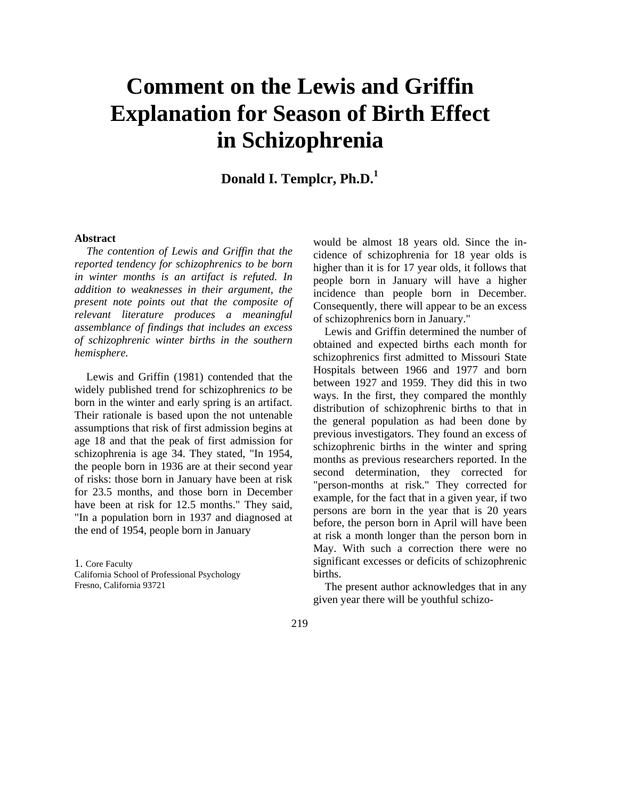# **Comment on the Lewis and Griffin Explanation for Season of Birth Effect in Schizophrenia**

**Donald I. Templcr, Ph.D.<sup>1</sup>**

#### **Abstract**

*The contention of Lewis and Griffin that the reported tendency for schizophrenics to be born in winter months is an artifact is refuted. In addition to weaknesses in their argument, the present note points out that the composite of relevant literature produces a meaningful assemblance of findings that includes an excess of schizophrenic winter births in the southern hemisphere.*

Lewis and Griffin (1981) contended that the widely published trend for schizophrenics *to* be born in the winter and early spring is an artifact. Their rationale is based upon the not untenable assumptions that risk of first admission begins at age 18 and that the peak of first admission for schizophrenia is age 34. They stated, "In 1954, the people born in 1936 are at their second year of risks: those born in January have been at risk for 23.5 months, and those born in December have been at risk for 12.5 months." They said, "In a population born in 1937 and diagnosed at the end of 1954, people born in January

1. Core Faculty California School of Professional Psychology Fresno, California 93721

would be almost 18 years old. Since the incidence of schizophrenia for 18 year olds is higher than it is for 17 year olds, it follows that people born in January will have a higher incidence than people born in December. Consequently, there will appear to be an excess of schizophrenics born in January."

Lewis and Griffin determined the number of obtained and expected births each month for schizophrenics first admitted to Missouri State Hospitals between 1966 and 1977 and born between 1927 and 1959. They did this in two ways. In the first, they compared the monthly distribution of schizophrenic births to that in the general population as had been done by previous investigators. They found an excess of schizophrenic births in the winter and spring months as previous researchers reported. In the second determination, they corrected for "person-months at risk." They corrected for example, for the fact that in a given year, if two persons are born in the year that is 20 years before, the person born in April will have been at risk a month longer than the person born in May. With such a correction there were no significant excesses or deficits of schizophrenic births.

The present author acknowledges that in any given year there will be youthful schizo-

#### 219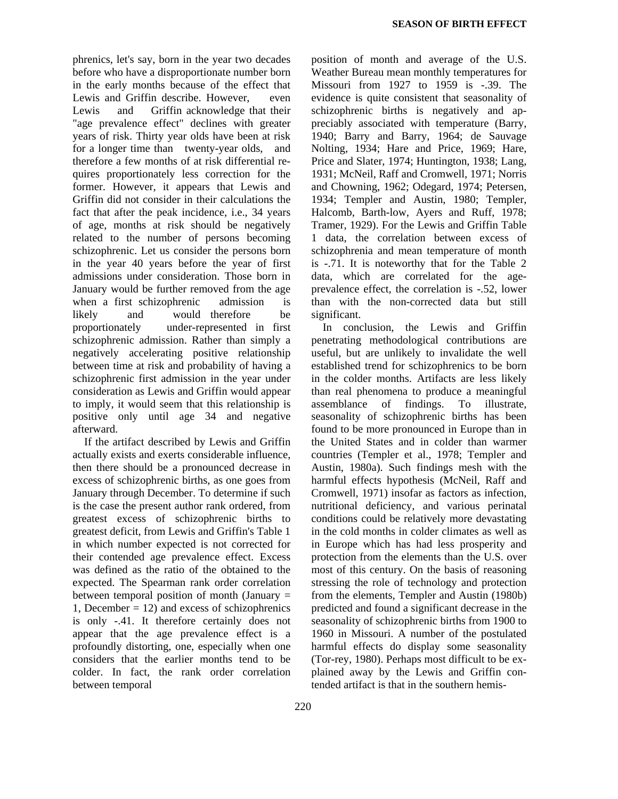phrenics, let's say, born in the year two decades before who have a disproportionate number born in the early months because of the effect that Lewis and Griffin describe. However, even Lewis and Griffin acknowledge that their "age prevalence effect" declines with greater years of risk. Thirty year olds have been at risk for a longer time than twenty-year olds, and therefore a few months of at risk differential requires proportionately less correction for the former. However, it appears that Lewis and Griffin did not consider in their calculations the fact that after the peak incidence, i.e., 34 years of age, months at risk should be negatively related to the number of persons becoming schizophrenic. Let us consider the persons born in the year 40 years before the year of first admissions under consideration. Those born in January would be further removed from the age when a first schizophrenic admission is likely and would therefore be proportionately under-represented in first schizophrenic admission. Rather than simply a negatively accelerating positive relationship between time at risk and probability of having a schizophrenic first admission in the year under consideration as Lewis and Griffin would appear to imply, it would seem that this relationship is positive only until age 34 and negative afterward.

If the artifact described by Lewis and Griffin actually exists and exerts considerable influence, then there should be a pronounced decrease in excess of schizophrenic births, as one goes from January through December. To determine if such is the case the present author rank ordered, from greatest excess of schizophrenic births to greatest deficit, from Lewis and Griffin's Table 1 in which number expected is not corrected for their contended age prevalence effect. Excess was defined as the ratio of the obtained to the expected. The Spearman rank order correlation between temporal position of month (January  $=$ 1, December  $= 12$ ) and excess of schizophrenics is only -.41. It therefore certainly does not appear that the age prevalence effect is a profoundly distorting, one, especially when one considers that the earlier months tend to be colder. In fact, the rank order correlation between temporal

position of month and average of the U.S. Weather Bureau mean monthly temperatures for Missouri from 1927 to 1959 is -.39. The evidence is quite consistent that seasonality of schizophrenic births is negatively and appreciably associated with temperature (Barry, 1940; Barry and Barry, 1964; de Sauvage Nolting, 1934; Hare and Price, 1969; Hare, Price and Slater, 1974; Huntington, 1938; Lang, 1931; McNeil, Raff and Cromwell, 1971; Norris and Chowning, 1962; Odegard, 1974; Petersen, 1934; Templer and Austin, 1980; Templer, Halcomb, Barth-low, Ayers and Ruff, 1978; Tramer, 1929). For the Lewis and Griffin Table 1 data, the correlation between excess of schizophrenia and mean temperature of month is -.71. It is noteworthy that for the Table 2 data, which are correlated for the ageprevalence effect, the correlation is -.52, lower than with the non-corrected data but still significant.

In conclusion, the Lewis and Griffin penetrating methodological contributions are useful, but are unlikely to invalidate the well established trend for schizophrenics to be born in the colder months. Artifacts are less likely than real phenomena to produce a meaningful assemblance of findings. To illustrate, seasonality of schizophrenic births has been found to be more pronounced in Europe than in the United States and in colder than warmer countries (Templer et al., 1978; Templer and Austin, 1980a). Such findings mesh with the harmful effects hypothesis (McNeil, Raff and Cromwell, 1971) insofar as factors as infection, nutritional deficiency, and various perinatal conditions could be relatively more devastating in the cold months in colder climates as well as in Europe which has had less prosperity and protection from the elements than the U.S. over most of this century. On the basis of reasoning stressing the role of technology and protection from the elements, Templer and Austin (1980b) predicted and found a significant decrease in the seasonality of schizophrenic births from 1900 to 1960 in Missouri. A number of the postulated harmful effects do display some seasonality (Tor-rey, 1980). Perhaps most difficult to be explained away by the Lewis and Griffin contended artifact is that in the southern hemis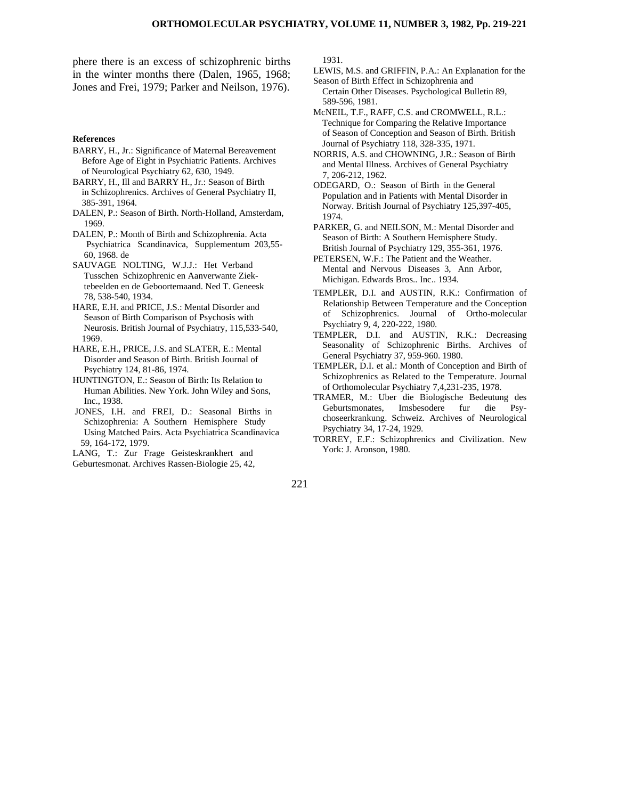phere there is an excess of schizophrenic births in the winter months there (Dalen, 1965, 1968; Jones and Frei, 1979; Parker and Neilson, 1976).

#### **References**

- BARRY, H., Jr.: Significance of Maternal Bereavement Before Age of Eight in Psychiatric Patients. Archives of Neurological Psychiatry 62, 630, 1949.
- BARRY, H., Ill and BARRY H., Jr.: Season of Birth in Schizophrenics. Archives of General Psychiatry II, 385-391, 1964.
- DALEN, P.: Season of Birth. North-Holland, Amsterdam, 1969.
- DALEN, P.: Month of Birth and Schizophrenia. Acta Psychiatrica Scandinavica, Supplementum 203,55- 60, 1968. de
- SAUVAGE NOLTING, W.J.J.: Het Verband Tusschen Schizophrenic en Aanverwante Ziek tebeelden en de Geboortemaand. Ned T. Geneesk 78, 538-540, 1934.
- HARE, E.H. and PRICE, J.S.: Mental Disorder and Season of Birth Comparison of Psychosis with Neurosis. British Journal of Psychiatry, 115,533-540, 1969.
- HARE, E.H., PRICE, J.S. and SLATER, E.: Mental Disorder and Season of Birth. British Journal of Psychiatry 124, 81-86, 1974.
- HUNTINGTON, E.: Season of Birth: Its Relation to Human Abilities. New York. John Wiley and Sons, Inc., 1938.
- JONES, I.H. and FREI, D.: Seasonal Births in Schizophrenia: A Southern Hemisphere Study Using Matched Pairs. Acta Psychiatrica Scandinavica 59, 164-172, 1979.
- LANG, T.: Zur Frage Geisteskrankhert and Geburtesmonat. Archives Rassen-Biologie 25, 42,

1931.

221

- LEWIS, M.S. and GRIFFIN, P.A.: An Explanation for the Season of Birth Effect in Schizophrenia and
- Certain Other Diseases. Psychological Bulletin 89, 589-596, 1981.
- McNEIL, T.F., RAFF, C.S. and CROMWELL, R.L.: Technique for Comparing the Relative Importance of Season of Conception and Season of Birth. British Journal of Psychiatry 118, 328-335, 1971.
- NORRIS, A.S. and CHOWNING, J.R.: Season of Birth and Mental Illness. Archives of General Psychiatry 7, 206-212, 1962.
- ODEGARD, O.: Season of Birth in the General Population and in Patients with Mental Disorder in Norway. British Journal of Psychiatry 125,397-405, 1974.
- PARKER, G. and NEILSON, M.: Mental Disorder and Season of Birth: A Southern Hemisphere Study. British Journal of Psychiatry 129, 355-361, 1976.
- PETERSEN, W.F.: The Patient and the Weather. Mental and Nervous Diseases 3, Ann Arbor, Michigan. Edwards Bros.. Inc.. 1934.
- TEMPLER, D.I. and AUSTIN, R.K.: Confirmation of Relationship Between Temperature and the Conception of Schizophrenics. Journal of Ortho-molecular Psychiatry 9, 4, 220-222, 1980.
- TEMPLER, D.I. and AUSTIN, R.K.: Decreasing Seasonality of Schizophrenic Births. Archives of General Psychiatry 37, 959-960. 1980.
- TEMPLER, D.I. et al.: Month of Conception and Birth of Schizophrenics as Related to the Temperature. Journal of Orthomolecular Psychiatry 7,4,231-235, 1978.
- TRAMER, M.: Uber die Biologische Bedeutung des Geburtsmonates, Imsbesodere fur die Psychoseerkrankung. Schweiz. Archives of Neurological Psychiatry 34, 17-24, 1929.
- TORREY, E.F.: Schizophrenics and Civilization. New York: J. Aronson, 1980.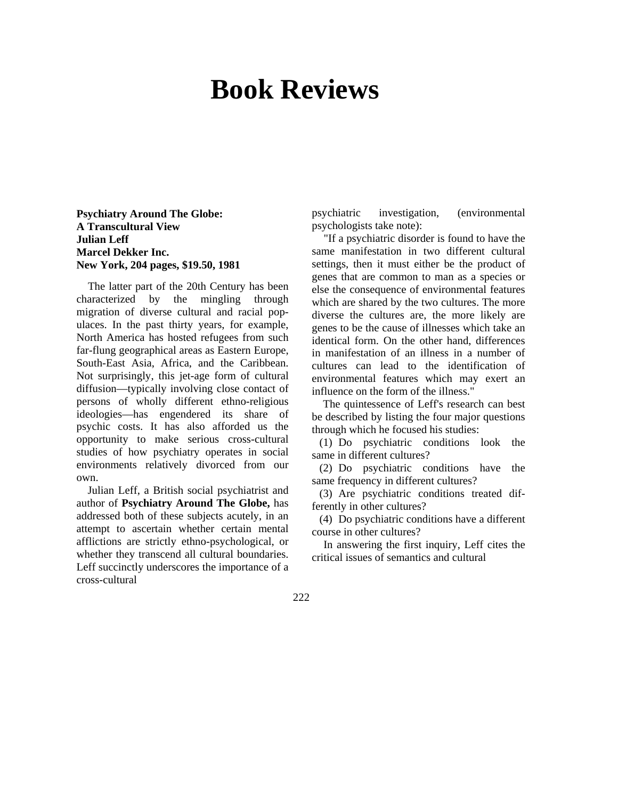# **Book Reviews**

### **Psychiatry Around The Globe: A Transcultural View Julian Leff Marcel Dekker Inc. New York, 204 pages, \$19.50, 1981**

The latter part of the 20th Century has been characterized by the mingling through migration of diverse cultural and racial populaces. In the past thirty years, for example, North America has hosted refugees from such far-flung geographical areas as Eastern Europe, South-East Asia, Africa, and the Caribbean. Not surprisingly, this jet-age form of cultural diffusion—typically involving close contact of persons of wholly different ethno-religious ideologies—has engendered its share of psychic costs. It has also afforded us the opportunity to make serious cross-cultural studies of how psychiatry operates in social environments relatively divorced from our own.

Julian Leff, a British social psychiatrist and author of **Psychiatry Around The Globe,** has addressed both of these subjects acutely, in an attempt to ascertain whether certain mental afflictions are strictly ethno-psychological, or whether they transcend all cultural boundaries. Leff succinctly underscores the importance of a cross-cultural

psychiatric investigation, (environmental psychologists take note):

"If a psychiatric disorder is found to have the same manifestation in two different cultural settings, then it must either be the product of genes that are common to man as a species or else the consequence of environmental features which are shared by the two cultures. The more diverse the cultures are, the more likely are genes to be the cause of illnesses which take an identical form. On the other hand, differences in manifestation of an illness in a number of cultures can lead to the identification of environmental features which may exert an influence on the form of the illness."

The quintessence of Leff's research can best be described by listing the four major questions through which he focused his studies:

(1) Do psychiatric conditions look the same in different cultures?

(2) Do psychiatric conditions have the same frequency in different cultures?

(3) Are psychiatric conditions treated differently in other cultures?

(4) Do psychiatric conditions have a different course in other cultures?

In answering the first inquiry, Leff cites the critical issues of semantics and cultural

222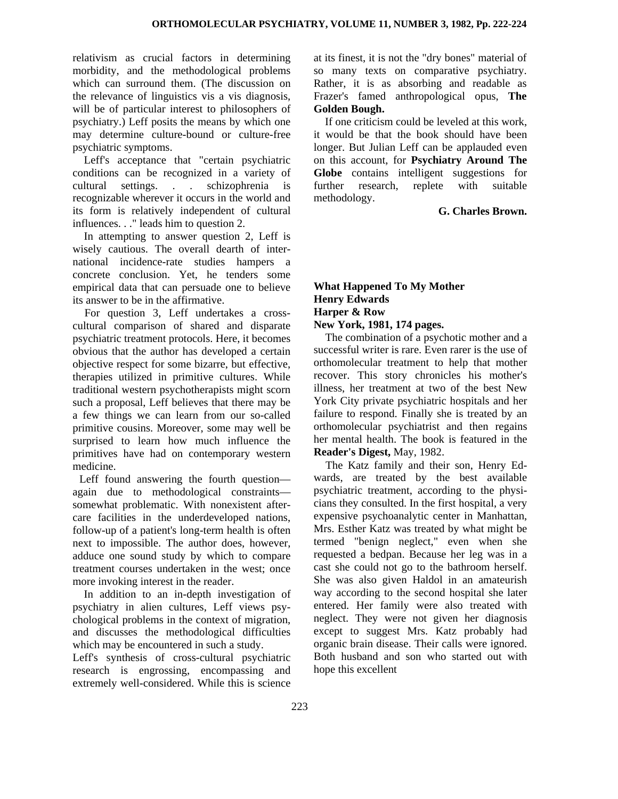relativism as crucial factors in determining morbidity, and the methodological problems which can surround them. (The discussion on the relevance of linguistics vis a vis diagnosis, will be of particular interest to philosophers of psychiatry.) Leff posits the means by which one may determine culture-bound or culture-free psychiatric symptoms.

Leff's acceptance that "certain psychiatric conditions can be recognized in a variety of cultural settings. . . schizophrenia is recognizable wherever it occurs in the world and its form is relatively independent of cultural influences. . ." leads him to question 2.

In attempting to answer question 2, Leff is wisely cautious. The overall dearth of international incidence-rate studies hampers a concrete conclusion. Yet, he tenders some empirical data that can persuade one to believe its answer to be in the affirmative.

For question 3, Leff undertakes a crosscultural comparison of shared and disparate psychiatric treatment protocols. Here, it becomes obvious that the author has developed a certain objective respect for some bizarre, but effective, therapies utilized in primitive cultures. While traditional western psychotherapists might scorn such a proposal, Leff believes that there may be a few things we can learn from our so-called primitive cousins. Moreover, some may well be surprised to learn how much influence the primitives have had on contemporary western medicine.

Leff found answering the fourth question again due to methodological constraints somewhat problematic. With nonexistent aftercare facilities in the underdeveloped nations, follow-up of a patient's long-term health is often next to impossible. The author does, however, adduce one sound study by which to compare treatment courses undertaken in the west; once more invoking interest in the reader.

In addition to an in-depth investigation of psychiatry in alien cultures, Leff views psychological problems in the context of migration, and discusses the methodological difficulties which may be encountered in such a study.

Leff's synthesis of cross-cultural psychiatric research is engrossing, encompassing and extremely well-considered. While this is science at its finest, it is not the "dry bones" material of so many texts on comparative psychiatry. Rather, it is as absorbing and readable as Frazer's famed anthropological opus, **The Golden Bough.**

If one criticism could be leveled at this work, it would be that the book should have been longer. But Julian Leff can be applauded even on this account, for **Psychiatry Around The Globe** contains intelligent suggestions for further research, replete with suitable methodology.

**G. Charles Brown.**

### **What Happened To My Mother Henry Edwards Harper & Row New York, 1981, 174 pages.**

The combination of a psychotic mother and a successful writer is rare. Even rarer is the use of orthomolecular treatment to help that mother recover. This story chronicles his mother's illness, her treatment at two of the best New York City private psychiatric hospitals and her failure to respond. Finally she is treated by an orthomolecular psychiatrist and then regains her mental health. The book is featured in the **Reader's Digest,** May, 1982.

The Katz family and their son, Henry Edwards, are treated by the best available psychiatric treatment, according to the physicians they consulted. In the first hospital, a very expensive psychoanalytic center in Manhattan, Mrs. Esther Katz was treated by what might be termed "benign neglect," even when she requested a bedpan. Because her leg was in a cast she could not go to the bathroom herself. She was also given Haldol in an amateurish way according to the second hospital she later entered. Her family were also treated with neglect. They were not given her diagnosis except to suggest Mrs. Katz probably had organic brain disease. Their calls were ignored. Both husband and son who started out with hope this excellent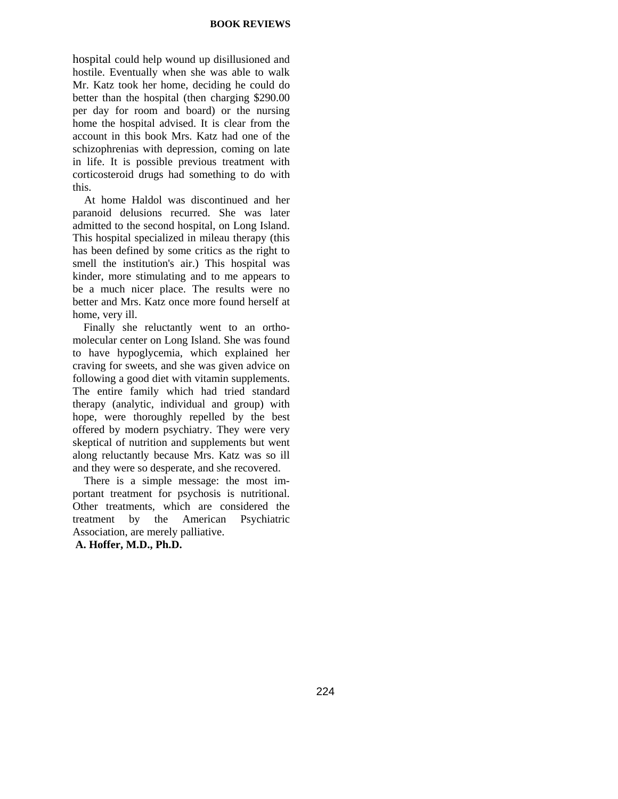hospital could help wound up disillusioned and hostile. Eventually when she was able to walk Mr. Katz took her home, deciding he could do better than the hospital (then charging \$290.00 per day for room and board) or the nursing home the hospital advised. It is clear from the account in this book Mrs. Katz had one of the schizophrenias with depression, coming on late in life. It is possible previous treatment with corticosteroid drugs had something to do with this.

At home Haldol was discontinued and her paranoid delusions recurred. She was later admitted to the second hospital, on Long Island. This hospital specialized in mileau therapy (this has been defined by some critics as the right to smell the institution's air.) This hospital was kinder, more stimulating and to me appears to be a much nicer place. The results were no better and Mrs. Katz once more found herself at home, very ill.

Finally she reluctantly went to an orthomolecular center on Long Island. She was found to have hypoglycemia, which explained her craving for sweets, and she was given advice on following a good diet with vitamin supplements. The entire family which had tried standard therapy (analytic, individual and group) with hope, were thoroughly repelled by the best offered by modern psychiatry. They were very skeptical of nutrition and supplements but went along reluctantly because Mrs. Katz was so ill and they were so desperate, and she recovered.

There is a simple message: the most important treatment for psychosis is nutritional. Other treatments, which are considered the treatment by the American Psychiatric Association, are merely palliative.  **A. Hoffer, M.D., Ph.D.**